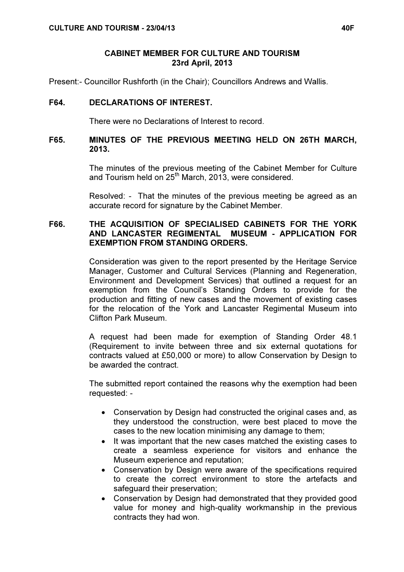#### CABINET MEMBER FOR CULTURE AND TOURISM 23rd April, 2013

Present:- Councillor Rushforth (in the Chair); Councillors Andrews and Wallis.

## F64. DECLARATIONS OF INTEREST.

There were no Declarations of Interest to record.

## F65. MINUTES OF THE PREVIOUS MEETING HELD ON 26TH MARCH, 2013.

 The minutes of the previous meeting of the Cabinet Member for Culture and Tourism held on  $25<sup>th</sup>$  March, 2013, were considered.

Resolved: - That the minutes of the previous meeting be agreed as an accurate record for signature by the Cabinet Member.

#### F66. THE ACQUISITION OF SPECIALISED CABINETS FOR THE YORK AND LANCASTER REGIMENTAL MUSEUM - APPLICATION FOR EXEMPTION FROM STANDING ORDERS.

 Consideration was given to the report presented by the Heritage Service Manager, Customer and Cultural Services (Planning and Regeneration, Environment and Development Services) that outlined a request for an exemption from the Council's Standing Orders to provide for the production and fitting of new cases and the movement of existing cases for the relocation of the York and Lancaster Regimental Museum into Clifton Park Museum.

A request had been made for exemption of Standing Order 48.1 (Requirement to invite between three and six external quotations for contracts valued at £50,000 or more) to allow Conservation by Design to be awarded the contract.

The submitted report contained the reasons why the exemption had been requested: -

- Conservation by Design had constructed the original cases and, as they understood the construction, were best placed to move the cases to the new location minimising any damage to them;
- It was important that the new cases matched the existing cases to create a seamless experience for visitors and enhance the Museum experience and reputation;
- Conservation by Design were aware of the specifications required to create the correct environment to store the artefacts and safeguard their preservation;
- Conservation by Design had demonstrated that they provided good value for money and high-quality workmanship in the previous contracts they had won.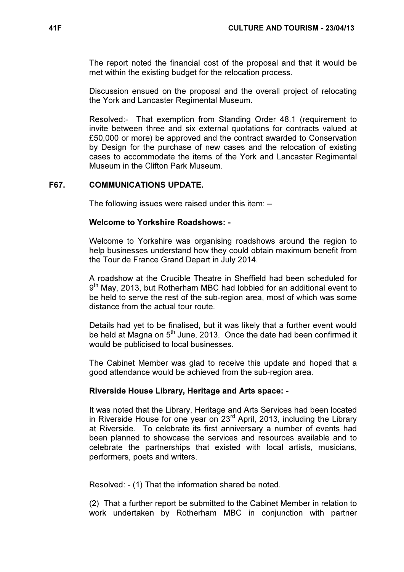The report noted the financial cost of the proposal and that it would be met within the existing budget for the relocation process.

Discussion ensued on the proposal and the overall project of relocating the York and Lancaster Regimental Museum.

Resolved:- That exemption from Standing Order 48.1 (requirement to invite between three and six external quotations for contracts valued at £50,000 or more) be approved and the contract awarded to Conservation by Design for the purchase of new cases and the relocation of existing cases to accommodate the items of the York and Lancaster Regimental Museum in the Clifton Park Museum.

## F67. COMMUNICATIONS UPDATE.

The following issues were raised under this item: –

## Welcome to Yorkshire Roadshows: -

Welcome to Yorkshire was organising roadshows around the region to help businesses understand how they could obtain maximum benefit from the Tour de France Grand Depart in July 2014.

A roadshow at the Crucible Theatre in Sheffield had been scheduled for 9<sup>th</sup> May, 2013, but Rotherham MBC had lobbied for an additional event to be held to serve the rest of the sub-region area, most of which was some distance from the actual tour route.

Details had yet to be finalised, but it was likely that a further event would be held at Magna on  $5<sup>th</sup>$  June, 2013. Once the date had been confirmed it would be publicised to local businesses.

The Cabinet Member was glad to receive this update and hoped that a good attendance would be achieved from the sub-region area.

#### Riverside House Library, Heritage and Arts space: -

It was noted that the Library, Heritage and Arts Services had been located in Riverside House for one year on 23<sup>rd</sup> April, 2013, including the Library at Riverside. To celebrate its first anniversary a number of events had been planned to showcase the services and resources available and to celebrate the partnerships that existed with local artists, musicians, performers, poets and writers.

Resolved: - (1) That the information shared be noted.

(2) That a further report be submitted to the Cabinet Member in relation to work undertaken by Rotherham MBC in conjunction with partner